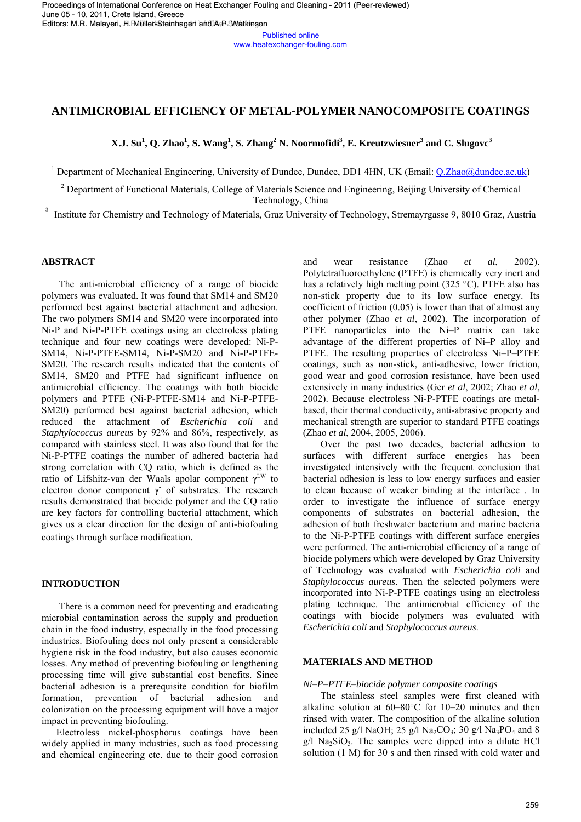Published online www.heatexchanger-fouling.com

# **ANTIMICROBIAL EFFICIENCY OF METAL-POLYMER NANOCOMPOSITE COATINGS**

 **X.J. Su<sup>1</sup> , Q. Zhao<sup>1</sup> , S. Wang<sup>1</sup> , S. Zhang<sup>2</sup> N. Noormofidi3 , E. Kreutzwiesner3 and C. Slugovc<sup>3</sup>**

<sup>1</sup> Department of Mechanical Engineering, University of Dundee, Dundee, DD1 4HN, UK (Email: **Q.Zhao@dundee.ac.uk)** 

<sup>2</sup> Department of Functional Materials, College of Materials Science and Engineering, Beijing University of Chemical Technology, China

3 Institute for Chemistry and Technology of Materials, Graz University of Technology, Stremayrgasse 9, 8010 Graz, Austria

# **ABSTRACT**

The anti-microbial efficiency of a range of biocide polymers was evaluated. It was found that SM14 and SM20 performed best against bacterial attachment and adhesion. The two polymers SM14 and SM20 were incorporated into Ni-P and Ni-P-PTFE coatings using an electroless plating technique and four new coatings were developed: Ni-P-SM14, Ni-P-PTFE-SM14, Ni-P-SM20 and Ni-P-PTFE-SM20. The research results indicated that the contents of SM14, SM20 and PTFE had significant influence on antimicrobial efficiency. The coatings with both biocide polymers and PTFE (Ni-P-PTFE-SM14 and Ni-P-PTFE-SM20) performed best against bacterial adhesion, which reduced the attachment of *Escherichia coli* and *Staphylococcus aureus* by 92% and 86%, respectively, as compared with stainless steel. It was also found that for the Ni-P-PTFE coatings the number of adhered bacteria had strong correlation with CQ ratio, which is defined as the ratio of Lifshitz-van der Waals apolar component  $\gamma^{\text{LW}}$  to electron donor component  $\gamma$  of substrates. The research results demonstrated that biocide polymer and the CQ ratio are key factors for controlling bacterial attachment, which gives us a clear direction for the design of anti-biofouling coatings through surface modification.

## **INTRODUCTION**

There is a common need for preventing and eradicating microbial contamination across the supply and production chain in the food industry, especially in the food processing industries. Biofouling does not only present a considerable hygiene risk in the food industry, but also causes economic losses. Any method of preventing biofouling or lengthening processing time will give substantial cost benefits. Since bacterial adhesion is a prerequisite condition for biofilm formation, prevention of bacterial adhesion and colonization on the processing equipment will have a major impact in preventing biofouling.

 Electroless nickel-phosphorus coatings have been widely applied in many industries, such as food processing and chemical engineering etc. due to their good corrosion and wear resistance (Zhao *et al*, 2002). Polytetrafluoroethylene (PTFE) is chemically very inert and has a relatively high melting point (325 °C). PTFE also has non-stick property due to its low surface energy. Its coefficient of friction (0.05) is lower than that of almost any other polymer (Zhao *et al*, 2002). The incorporation of PTFE nanoparticles into the Ni–P matrix can take advantage of the different properties of Ni–P alloy and PTFE. The resulting properties of electroless Ni–P–PTFE coatings, such as non-stick, anti-adhesive, lower friction, good wear and good corrosion resistance, have been used extensively in many industries (Ger *et al*, 2002; Zhao *et al*, 2002). Because electroless Ni-P-PTFE coatings are metalbased, their thermal conductivity, anti-abrasive property and mechanical strength are superior to standard PTFE coatings (Zhao *et al*, 2004, 2005, 2006).

Over the past two decades, bacterial adhesion to surfaces with different surface energies has been investigated intensively with the frequent conclusion that bacterial adhesion is less to low energy surfaces and easier to clean because of weaker binding at the interface . In order to investigate the influence of surface energy components of substrates on bacterial adhesion, the adhesion of both freshwater bacterium and marine bacteria to the Ni-P-PTFE coatings with different surface energies were performed. The anti-microbial efficiency of a range of biocide polymers which were developed by Graz University of Technology was evaluated with *Escherichia coli* and *Staphylococcus aureus*. Then the selected polymers were incorporated into Ni-P-PTFE coatings using an electroless plating technique. The antimicrobial efficiency of the coatings with biocide polymers was evaluated with *Escherichia coli* and *Staphylococcus aureus*. 24 Mike Steinhage and A.P. Watkinson and a convention coming on the main of the main of the main of the main of the main of the main of the main of the main of the main of the main of the main of the main of the main of t

## **MATERIALS AND METHOD**

*Ni*–*P*–*PTFE*–*biocide polymer composite coatings*

The stainless steel samples were first cleaned with alkaline solution at 60–80°C for 10–20 minutes and then rinsed with water. The composition of the alkaline solution included 25 g/l NaOH; 25 g/l Na<sub>2</sub>CO<sub>3</sub>; 30 g/l Na<sub>3</sub>PO<sub>4</sub> and 8  $g/l$  Na<sub>2</sub>SiO<sub>3</sub>. The samples were dipped into a dilute HCl solution (1 M) for 30 s and then rinsed with cold water and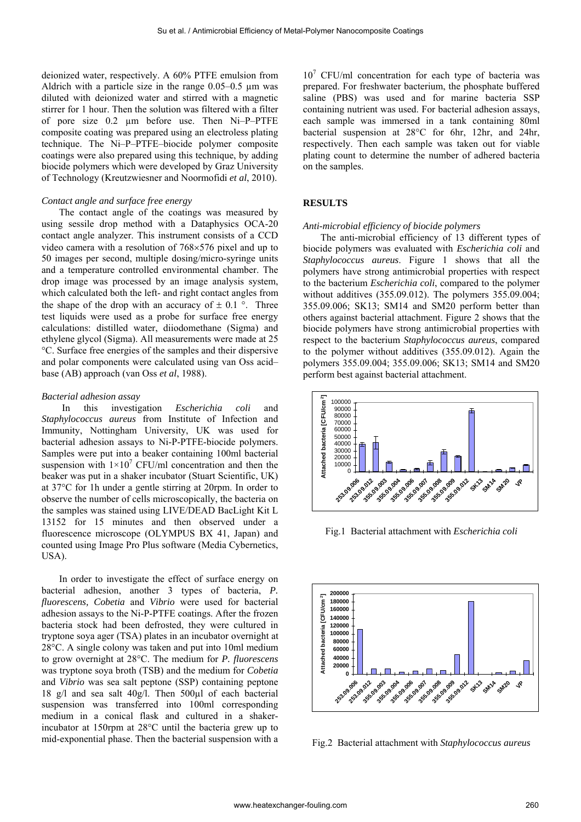deionized water, respectively. A 60% PTFE emulsion from Aldrich with a particle size in the range  $0.05-0.5$  µm was diluted with deionized water and stirred with a magnetic stirrer for 1 hour. Then the solution was filtered with a filter of pore size 0.2 µm before use. Then Ni–P–PTFE composite coating was prepared using an electroless plating technique. The Ni–P–PTFE–biocide polymer composite coatings were also prepared using this technique, by adding biocide polymers which were developed by Graz University of Technology (Kreutzwiesner and Noormofidi *et al*, 2010).

### *Contact angle and surface free energy*

The contact angle of the coatings was measured by using sessile drop method with a Dataphysics OCA-20 contact angle analyzer. This instrument consists of a CCD video camera with a resolution of  $768\times576$  pixel and up to 50 images per second, multiple dosing/micro-syringe units and a temperature controlled environmental chamber. The drop image was processed by an image analysis system, which calculated both the left- and right contact angles from the shape of the drop with an accuracy of  $\pm$  0.1 °. Three test liquids were used as a probe for surface free energy calculations: distilled water, diiodomethane (Sigma) and ethylene glycol (Sigma). All measurements were made at 25 °C. Surface free energies of the samples and their dispersive and polar components were calculated using van Oss acid– base (AB) approach (van Oss *et al*, 1988).

#### *Bacterial adhesion assay*

In this investigation *Escherichia coli* and *Staphylococcus aureus* from Institute of Infection and Immunity, Nottingham University, UK was used for bacterial adhesion assays to Ni-P-PTFE-biocide polymers. Samples were put into a beaker containing 100ml bacterial suspension with  $1 \times 10^7$  CFU/ml concentration and then the beaker was put in a shaker incubator (Stuart Scientific, UK) at 37°C for 1h under a gentle stirring at 20rpm. In order to observe the number of cells microscopically, the bacteria on the samples was stained using LIVE/DEAD BacLight Kit L 13152 for 15 minutes and then observed under a fluorescence microscope (OLYMPUS BX 41, Japan) and counted using Image Pro Plus software (Media Cybernetics, USA).

In order to investigate the effect of surface energy on bacterial adhesion, another 3 types of bacteria, *P. fluorescens, Cobetia* and *Vibrio* were used for bacterial adhesion assays to the Ni-P-PTFE coatings. After the frozen bacteria stock had been defrosted, they were cultured in tryptone soya ager (TSA) plates in an incubator overnight at 28°C. A single colony was taken and put into 10ml medium to grow overnight at 28°C. The medium for *P. fluorescens* was tryptone soya broth (TSB) and the medium for *Cobetia* and *Vibrio* was sea salt peptone (SSP) containing peptone 18 g/l and sea salt 40g/l. Then 500µl of each bacterial suspension was transferred into 100ml corresponding medium in a conical flask and cultured in a shakerincubator at 150rpm at 28°C until the bacteria grew up to mid-exponential phase. Then the bacterial suspension with a

10<sup>7</sup> CFU/ml concentration for each type of bacteria was prepared. For freshwater bacterium, the phosphate buffered saline (PBS) was used and for marine bacteria SSP containing nutrient was used. For bacterial adhesion assays, each sample was immersed in a tank containing 80ml bacterial suspension at 28°C for 6hr, 12hr, and 24hr, respectively. Then each sample was taken out for viable plating count to determine the number of adhered bacteria on the samples.

### **RESULTS**

#### *Anti-microbial efficiency of biocide polymers*

The anti-microbial efficiency of 13 different types of biocide polymers was evaluated with *Escherichia coli* and *Staphylococcus aureus*. Figure 1 shows that all the polymers have strong antimicrobial properties with respect to the bacterium *Escherichia coli*, compared to the polymer without additives (355.09.012). The polymers 355.09.004; 355.09.006; SK13; SM14 and SM20 perform better than others against bacterial attachment. Figure 2 shows that the biocide polymers have strong antimicrobial properties with respect to the bacterium *Staphylococcus aureus*, compared to the polymer without additives (355.09.012). Again the polymers 355.09.004; 355.09.006; SK13; SM14 and SM20 perform best against bacterial attachment.



Fig.1 Bacterial attachment with *Escherichia coli*



Fig.2 Bacterial attachment with *Staphylococcus aureus*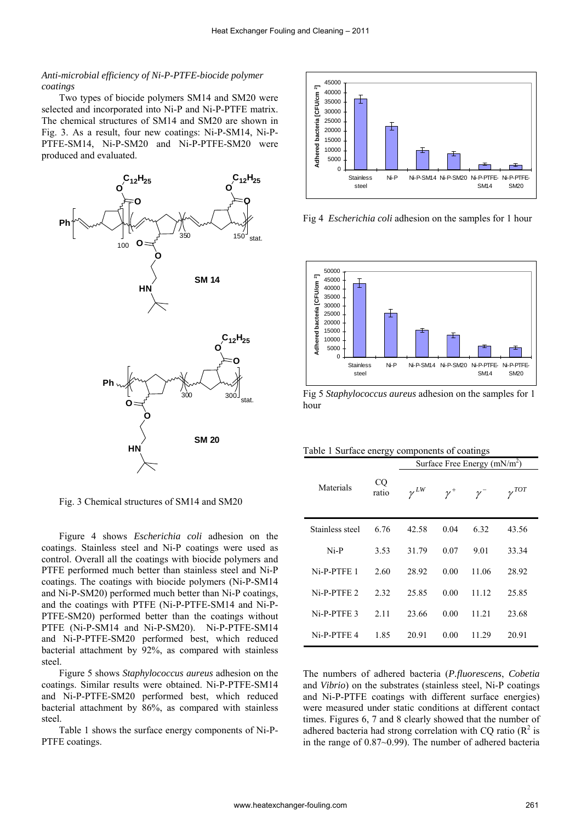### *Anti-microbial efficiency of Ni-P-PTFE-biocide polymer coatings*

Two types of biocide polymers SM14 and SM20 were selected and incorporated into Ni-P and Ni-P-PTFE matrix. The chemical structures of SM14 and SM20 are shown in Fig. 3. As a result, four new coatings: Ni-P-SM14, Ni-P-PTFE-SM14, Ni-P-SM20 and Ni-P-PTFE-SM20 were produced and evaluated.



Fig. 3 Chemical structures of SM14 and SM20

Figure 4 shows *Escherichia coli* adhesion on the coatings. Stainless steel and Ni-P coatings were used as control. Overall all the coatings with biocide polymers and PTFE performed much better than stainless steel and Ni-P coatings. The coatings with biocide polymers (Ni-P-SM14 and Ni-P-SM20) performed much better than Ni-P coatings, and the coatings with PTFE (Ni-P-PTFE-SM14 and Ni-P-PTFE-SM20) performed better than the coatings without PTFE (Ni-P-SM14 and Ni-P-SM20). Ni-P-PTFE-SM14 and Ni-P-PTFE-SM20 performed best, which reduced bacterial attachment by 92%, as compared with stainless steel.

Figure 5 shows *Staphylococcus aureus* adhesion on the coatings. Similar results were obtained. Ni-P-PTFE-SM14 and Ni-P-PTFE-SM20 performed best, which reduced bacterial attachment by 86%, as compared with stainless steel.

Table 1 shows the surface energy components of Ni-P-PTFE coatings.



Fig 4 *Escherichia coli* adhesion on the samples for 1 hour



Fig 5 *Staphylococcus aureus* adhesion on the samples for 1 hour

|  |  | Table 1 Surface energy components of coatings |  |  |  |  |  |
|--|--|-----------------------------------------------|--|--|--|--|--|
|--|--|-----------------------------------------------|--|--|--|--|--|

|                 |             | Surface Free Energy $(mN/m^2)$ |            |           |                |  |
|-----------------|-------------|--------------------------------|------------|-----------|----------------|--|
| Materials       | CQ<br>ratio | $\gamma^{LW}$                  | $\gamma^+$ | $\nu^{-}$ | $\gamma^{TOT}$ |  |
| Stainless steel | 6.76        | 42.58                          | 0.04       | 6.32      | 43.56          |  |
| Ni-P            | 3.53        | 31.79                          | 0.07       | 9.01      | 33.34          |  |
| Ni-P-PTFE 1     | 2.60        | 28.92                          | 0.00       | 11.06     | 28.92          |  |
| Ni-P-PTFE 2     | 2.32        | 25.85                          | 0.00       | 11.12     | 25.85          |  |
| Ni-P-PTFE 3     | 2.11        | 23.66                          | 0.00       | 11 21     | 23.68          |  |
| Ni-P-PTFE 4     | 1.85        | 20.91                          | 0.00       | 11.29     | 20.91          |  |

The numbers of adhered bacteria (*P.fluorescens*, *Cobetia*  and *Vibrio*) on the substrates (stainless steel, Ni-P coatings and Ni-P-PTFE coatings with different surface energies) were measured under static conditions at different contact times. Figures 6, 7 and 8 clearly showed that the number of adhered bacteria had strong correlation with CQ ratio  $(R^2)$  is in the range of 0.87~0.99). The number of adhered bacteria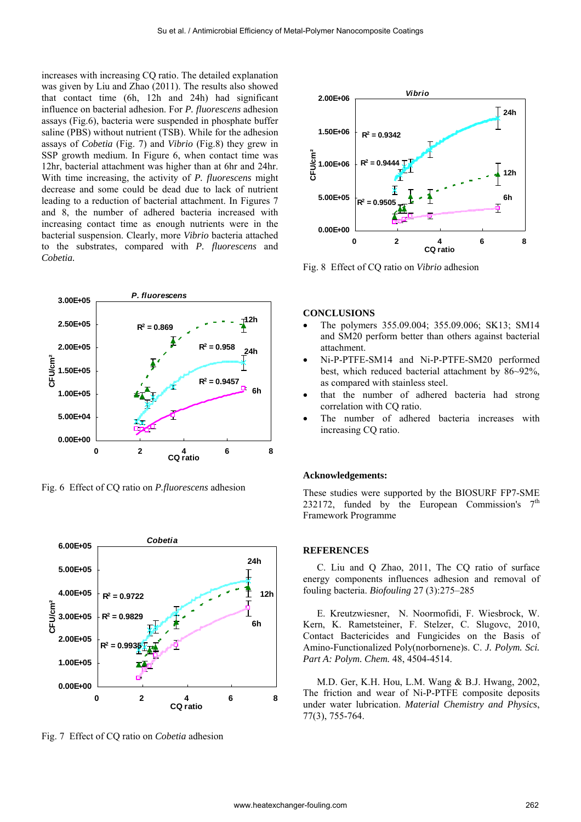increases with increasing CQ ratio. The detailed explanation was given by Liu and Zhao (2011). The results also showed that contact time (6h, 12h and 24h) had significant influence on bacterial adhesion. For *P. fluorescens* adhesion assays (Fig.6), bacteria were suspended in phosphate buffer saline (PBS) without nutrient (TSB). While for the adhesion assays of *Cobetia* (Fig. 7) and *Vibrio* (Fig.8) they grew in SSP growth medium. In Figure 6, when contact time was 12hr, bacterial attachment was higher than at 6hr and 24hr. With time increasing, the activity of *P. fluorescens* might decrease and some could be dead due to lack of nutrient leading to a reduction of bacterial attachment. In Figures 7 and 8, the number of adhered bacteria increased with increasing contact time as enough nutrients were in the bacterial suspension. Clearly, more *Vibrio* bacteria attached to the substrates, compared with *P. fluorescens* and *Cobetia.* 



Fig. 6 Effect of CQ ratio on *P.fluorescens* adhesion



Fig. 7 Effect of CQ ratio on *Cobetia* adhesion



Fig. 8 Effect of CQ ratio on *Vibrio* adhesion

### **CONCLUSIONS**

- The polymers 355.09.004; 355.09.006; SK13; SM14 and SM20 perform better than others against bacterial attachment.
- Ni-P-PTFE-SM14 and Ni-P-PTFE-SM20 performed best, which reduced bacterial attachment by 86~92%, as compared with stainless steel.
- that the number of adhered bacteria had strong correlation with CQ ratio.
- The number of adhered bacteria increases with increasing CQ ratio.

#### **Acknowledgements:**

These studies were supported by the BIOSURF FP7-SME 232172, funded by the European Commission's  $7<sup>th</sup>$ Framework Programme

#### **REFERENCES**

C. Liu and Q Zhao, 2011, The CQ ratio of surface energy components influences adhesion and removal of fouling bacteria. *Biofouling* 27 (3):275–285

E. Kreutzwiesner, N. Noormofidi, F. Wiesbrock, W. Kern, K. Rametsteiner, F. Stelzer, C. Slugovc, 2010, Contact Bactericides and Fungicides on the Basis of Amino-Functionalized Poly(norbornene)s. C. *J. Polym. Sci. Part A: Polym. Chem.* 48, 4504-4514.

M.D. Ger, K.H. Hou, L.M. Wang & B.J. Hwang, 2002, The friction and wear of Ni-P-PTFE composite deposits under water lubrication. *Material Chemistry and Physics*, 77(3), 755-764.